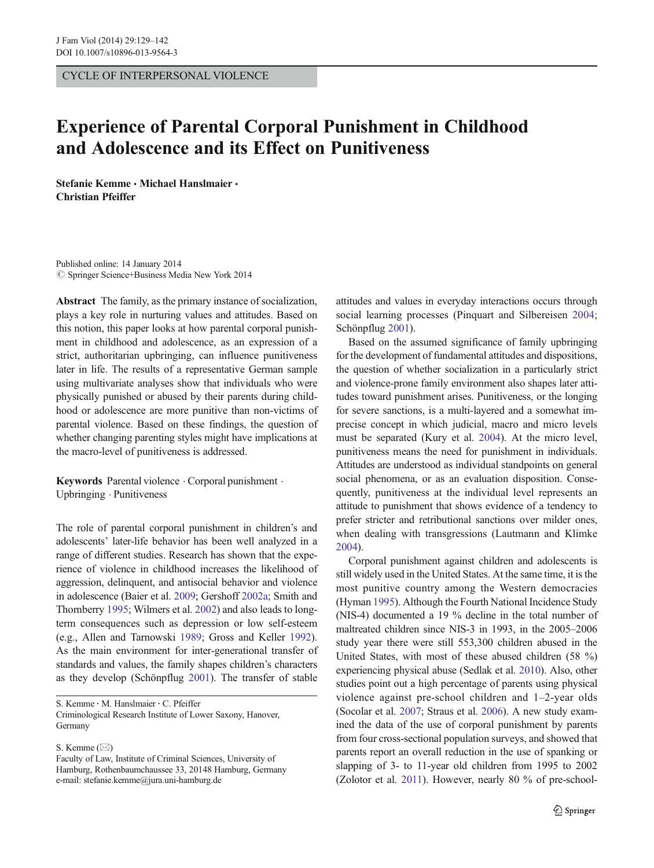CYCLE OF INTERPERSONAL VIOLENCE

## Experience of Parental Corporal Punishment in Childhood and Adolescence and its Effect on Punitiveness

Stefanie Kemme & Michael Hanslmaier & Christian Pfeiffer

Published online: 14 January 2014  $\circled{c}$  Springer Science+Business Media New York 2014

Abstract The family, as the primary instance of socialization, plays a key role in nurturing values and attitudes. Based on this notion, this paper looks at how parental corporal punishment in childhood and adolescence, as an expression of a strict, authoritarian upbringing, can influence punitiveness later in life. The results of a representative German sample using multivariate analyses show that individuals who were physically punished or abused by their parents during childhood or adolescence are more punitive than non-victims of parental violence. Based on these findings, the question of whether changing parenting styles might have implications at the macro-level of punitiveness is addressed.

Keywords Parental violence . Corporal punishment . Upbringing . Punitiveness

The role of parental corporal punishment in children's and adolescents' later-life behavior has been well analyzed in a range of different studies. Research has shown that the experience of violence in childhood increases the likelihood of aggression, delinquent, and antisocial behavior and violence in adolescence (Baier et al. [2009](#page-11-0); Gershoff [2002a;](#page-11-0) Smith and Thornberry [1995;](#page-12-0) Wilmers et al. [2002](#page-12-0)) and also leads to longterm consequences such as depression or low self-esteem (e.g., Allen and Tarnowski [1989;](#page-11-0) Gross and Keller [1992](#page-11-0)). As the main environment for inter-generational transfer of standards and values, the family shapes children's characters as they develop (Schönpflug [2001](#page-12-0)). The transfer of stable

S. Kemme : M. Hanslmaier : C. Pfeiffer Criminological Research Institute of Lower Saxony, Hanover, Germany

S. Kemme  $(\boxtimes)$ 

attitudes and values in everyday interactions occurs through social learning processes (Pinquart and Silbereisen [2004;](#page-12-0) Schönpflug [2001](#page-12-0)).

Based on the assumed significance of family upbringing for the development of fundamental attitudes and dispositions, the question of whether socialization in a particularly strict and violence-prone family environment also shapes later attitudes toward punishment arises. Punitiveness, or the longing for severe sanctions, is a multi-layered and a somewhat imprecise concept in which judicial, macro and micro levels must be separated (Kury et al. [2004\)](#page-12-0). At the micro level, punitiveness means the need for punishment in individuals. Attitudes are understood as individual standpoints on general social phenomena, or as an evaluation disposition. Consequently, punitiveness at the individual level represents an attitude to punishment that shows evidence of a tendency to prefer stricter and retributional sanctions over milder ones, when dealing with transgressions (Lautmann and Klimke [2004\)](#page-12-0).

Corporal punishment against children and adolescents is still widely used in the United States. At the same time, it is the most punitive country among the Western democracies (Hyman [1995](#page-11-0)). Although the Fourth National Incidence Study (NIS-4) documented a 19 % decline in the total number of maltreated children since NIS-3 in 1993, in the 2005–2006 study year there were still 553,300 children abused in the United States, with most of these abused children (58 %) experiencing physical abuse (Sedlak et al. [2010](#page-12-0)). Also, other studies point out a high percentage of parents using physical violence against pre-school children and 1–2-year olds (Socolar et al. [2007;](#page-12-0) Straus et al. [2006](#page-12-0)). A new study examined the data of the use of corporal punishment by parents from four cross-sectional population surveys, and showed that parents report an overall reduction in the use of spanking or slapping of 3- to 11-year old children from 1995 to 2002 (Zolotor et al. [2011\)](#page-13-0). However, nearly 80 % of pre-school-

Faculty of Law, Institute of Criminal Sciences, University of Hamburg, Rothenbaumchaussee 33, 20148 Hamburg, Germany e-mail: stefanie.kemme@jura.uni-hamburg.de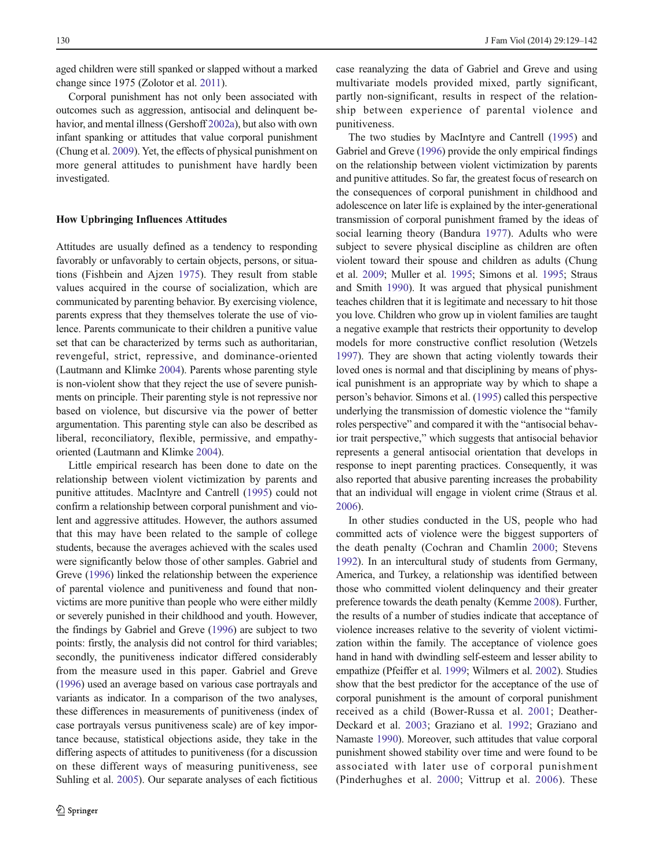aged children were still spanked or slapped without a marked change since 1975 (Zolotor et al. [2011](#page-13-0)).

Corporal punishment has not only been associated with outcomes such as aggression, antisocial and delinquent behavior, and mental illness (Gershoff [2002a\)](#page-11-0), but also with own infant spanking or attitudes that value corporal punishment (Chung et al. [2009\)](#page-11-0). Yet, the effects of physical punishment on more general attitudes to punishment have hardly been investigated.

## How Upbringing Influences Attitudes

Attitudes are usually defined as a tendency to responding favorably or unfavorably to certain objects, persons, or situations (Fishbein and Ajzen [1975](#page-11-0)). They result from stable values acquired in the course of socialization, which are communicated by parenting behavior. By exercising violence, parents express that they themselves tolerate the use of violence. Parents communicate to their children a punitive value set that can be characterized by terms such as authoritarian, revengeful, strict, repressive, and dominance-oriented (Lautmann and Klimke [2004\)](#page-12-0). Parents whose parenting style is non-violent show that they reject the use of severe punishments on principle. Their parenting style is not repressive nor based on violence, but discursive via the power of better argumentation. This parenting style can also be described as liberal, reconciliatory, flexible, permissive, and empathyoriented (Lautmann and Klimke [2004](#page-12-0)).

Little empirical research has been done to date on the relationship between violent victimization by parents and punitive attitudes. MacIntyre and Cantrell ([1995](#page-12-0)) could not confirm a relationship between corporal punishment and violent and aggressive attitudes. However, the authors assumed that this may have been related to the sample of college students, because the averages achieved with the scales used were significantly below those of other samples. Gabriel and Greve ([1996](#page-11-0)) linked the relationship between the experience of parental violence and punitiveness and found that nonvictims are more punitive than people who were either mildly or severely punished in their childhood and youth. However, the findings by Gabriel and Greve ([1996](#page-11-0)) are subject to two points: firstly, the analysis did not control for third variables; secondly, the punitiveness indicator differed considerably from the measure used in this paper. Gabriel and Greve [\(1996\)](#page-11-0) used an average based on various case portrayals and variants as indicator. In a comparison of the two analyses, these differences in measurements of punitiveness (index of case portrayals versus punitiveness scale) are of key importance because, statistical objections aside, they take in the differing aspects of attitudes to punitiveness (for a discussion on these different ways of measuring punitiveness, see Suhling et al. [2005](#page-12-0)). Our separate analyses of each fictitious

case reanalyzing the data of Gabriel and Greve and using multivariate models provided mixed, partly significant, partly non-significant, results in respect of the relationship between experience of parental violence and punitiveness.

The two studies by MacIntyre and Cantrell ([1995\)](#page-12-0) and Gabriel and Greve [\(1996\)](#page-11-0) provide the only empirical findings on the relationship between violent victimization by parents and punitive attitudes. So far, the greatest focus of research on the consequences of corporal punishment in childhood and adolescence on later life is explained by the inter-generational transmission of corporal punishment framed by the ideas of social learning theory (Bandura [1977](#page-11-0)). Adults who were subject to severe physical discipline as children are often violent toward their spouse and children as adults (Chung et al. [2009;](#page-11-0) Muller et al. [1995](#page-12-0); Simons et al. [1995;](#page-12-0) Straus and Smith [1990](#page-12-0)). It was argued that physical punishment teaches children that it is legitimate and necessary to hit those you love. Children who grow up in violent families are taught a negative example that restricts their opportunity to develop models for more constructive conflict resolution (Wetzels [1997\)](#page-12-0). They are shown that acting violently towards their loved ones is normal and that disciplining by means of physical punishment is an appropriate way by which to shape a person's behavior. Simons et al. [\(1995\)](#page-12-0) called this perspective underlying the transmission of domestic violence the "family roles perspective" and compared it with the "antisocial behavior trait perspective," which suggests that antisocial behavior represents a general antisocial orientation that develops in response to inept parenting practices. Consequently, it was also reported that abusive parenting increases the probability that an individual will engage in violent crime (Straus et al. [2006\)](#page-12-0).

In other studies conducted in the US, people who had committed acts of violence were the biggest supporters of the death penalty (Cochran and Chamlin [2000](#page-11-0); Stevens [1992\)](#page-12-0). In an intercultural study of students from Germany, America, and Turkey, a relationship was identified between those who committed violent delinquency and their greater preference towards the death penalty (Kemme [2008\)](#page-11-0). Further, the results of a number of studies indicate that acceptance of violence increases relative to the severity of violent victimization within the family. The acceptance of violence goes hand in hand with dwindling self-esteem and lesser ability to empathize (Pfeiffer et al. [1999;](#page-12-0) Wilmers et al. [2002](#page-12-0)). Studies show that the best predictor for the acceptance of the use of corporal punishment is the amount of corporal punishment received as a child (Bower-Russa et al. [2001;](#page-11-0) Deather-Deckard et al. [2003](#page-11-0); Graziano et al. [1992](#page-11-0); Graziano and Namaste [1990\)](#page-11-0). Moreover, such attitudes that value corporal punishment showed stability over time and were found to be associated with later use of corporal punishment (Pinderhughes et al. [2000](#page-12-0); Vittrup et al. [2006\)](#page-12-0). These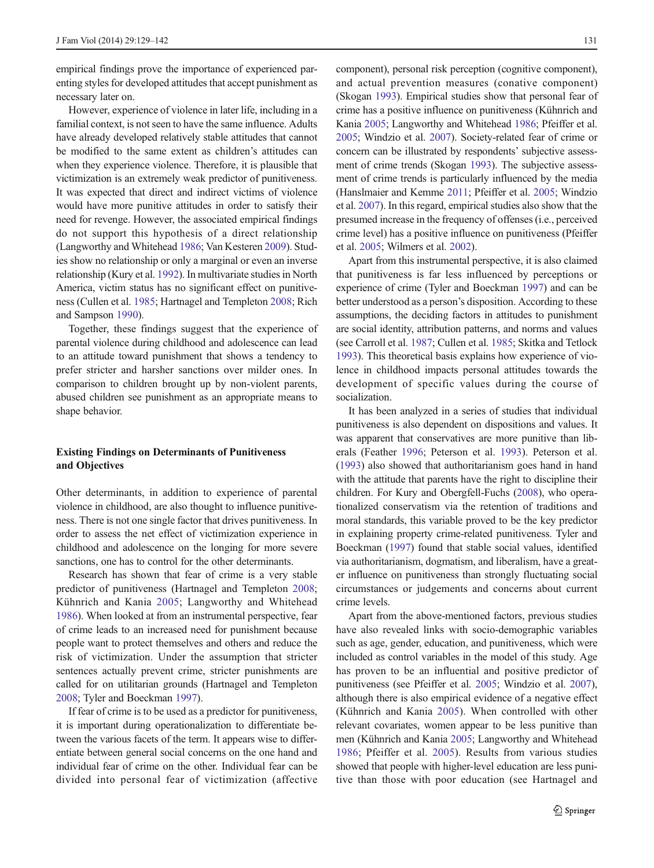empirical findings prove the importance of experienced parenting styles for developed attitudes that accept punishment as necessary later on.

However, experience of violence in later life, including in a familial context, is not seen to have the same influence. Adults have already developed relatively stable attitudes that cannot be modified to the same extent as children's attitudes can when they experience violence. Therefore, it is plausible that victimization is an extremely weak predictor of punitiveness. It was expected that direct and indirect victims of violence would have more punitive attitudes in order to satisfy their need for revenge. However, the associated empirical findings do not support this hypothesis of a direct relationship (Langworthy and Whitehead [1986](#page-12-0); Van Kesteren [2009\)](#page-12-0). Studies show no relationship or only a marginal or even an inverse relationship (Kury et al. [1992\)](#page-11-0). In multivariate studies in North America, victim status has no significant effect on punitiveness (Cullen et al. [1985](#page-11-0); Hartnagel and Templeton [2008;](#page-11-0) Rich and Sampson [1990\)](#page-12-0).

Together, these findings suggest that the experience of parental violence during childhood and adolescence can lead to an attitude toward punishment that shows a tendency to prefer stricter and harsher sanctions over milder ones. In comparison to children brought up by non-violent parents, abused children see punishment as an appropriate means to shape behavior.

## Existing Findings on Determinants of Punitiveness and Objectives

Other determinants, in addition to experience of parental violence in childhood, are also thought to influence punitiveness. There is not one single factor that drives punitiveness. In order to assess the net effect of victimization experience in childhood and adolescence on the longing for more severe sanctions, one has to control for the other determinants.

Research has shown that fear of crime is a very stable predictor of punitiveness (Hartnagel and Templeton [2008](#page-11-0); Kühnrich and Kania [2005](#page-11-0); Langworthy and Whitehead [1986\)](#page-12-0). When looked at from an instrumental perspective, fear of crime leads to an increased need for punishment because people want to protect themselves and others and reduce the risk of victimization. Under the assumption that stricter sentences actually prevent crime, stricter punishments are called for on utilitarian grounds (Hartnagel and Templeton [2008;](#page-11-0) Tyler and Boeckman [1997](#page-12-0)).

If fear of crime is to be used as a predictor for punitiveness, it is important during operationalization to differentiate between the various facets of the term. It appears wise to differentiate between general social concerns on the one hand and individual fear of crime on the other. Individual fear can be divided into personal fear of victimization (affective component), personal risk perception (cognitive component), and actual prevention measures (conative component) (Skogan [1993](#page-12-0)). Empirical studies show that personal fear of crime has a positive influence on punitiveness (Kühnrich and Kania [2005;](#page-11-0) Langworthy and Whitehead [1986](#page-12-0); Pfeiffer et al. [2005;](#page-12-0) Windzio et al. [2007\)](#page-13-0). Society-related fear of crime or concern can be illustrated by respondents' subjective assessment of crime trends (Skogan [1993\)](#page-12-0). The subjective assessment of crime trends is particularly influenced by the media (Hanslmaier and Kemme [2011;](#page-11-0) Pfeiffer et al. [2005;](#page-12-0) Windzio et al. [2007\)](#page-13-0). In this regard, empirical studies also show that the presumed increase in the frequency of offenses (i.e., perceived crime level) has a positive influence on punitiveness (Pfeiffer et al. [2005](#page-12-0); Wilmers et al. [2002](#page-12-0)).

Apart from this instrumental perspective, it is also claimed that punitiveness is far less influenced by perceptions or experience of crime (Tyler and Boeckman [1997](#page-12-0)) and can be better understood as a person's disposition. According to these assumptions, the deciding factors in attitudes to punishment are social identity, attribution patterns, and norms and values (see Carroll et al. [1987;](#page-11-0) Cullen et al. [1985](#page-11-0); Skitka and Tetlock [1993\)](#page-12-0). This theoretical basis explains how experience of violence in childhood impacts personal attitudes towards the development of specific values during the course of socialization.

It has been analyzed in a series of studies that individual punitiveness is also dependent on dispositions and values. It was apparent that conservatives are more punitive than liberals (Feather [1996;](#page-11-0) Peterson et al. [1993](#page-12-0)). Peterson et al. [\(1993\)](#page-12-0) also showed that authoritarianism goes hand in hand with the attitude that parents have the right to discipline their children. For Kury and Obergfell-Fuchs ([2008](#page-11-0)), who operationalized conservatism via the retention of traditions and moral standards, this variable proved to be the key predictor in explaining property crime-related punitiveness. Tyler and Boeckman [\(1997](#page-12-0)) found that stable social values, identified via authoritarianism, dogmatism, and liberalism, have a greater influence on punitiveness than strongly fluctuating social circumstances or judgements and concerns about current crime levels.

Apart from the above-mentioned factors, previous studies have also revealed links with socio-demographic variables such as age, gender, education, and punitiveness, which were included as control variables in the model of this study. Age has proven to be an influential and positive predictor of punitiveness (see Pfeiffer et al. [2005;](#page-12-0) Windzio et al. [2007\)](#page-13-0), although there is also empirical evidence of a negative effect (Kühnrich and Kania [2005\)](#page-11-0). When controlled with other relevant covariates, women appear to be less punitive than men (Kühnrich and Kania [2005](#page-11-0); Langworthy and Whitehead [1986](#page-12-0); Pfeiffer et al. [2005](#page-12-0)). Results from various studies showed that people with higher-level education are less punitive than those with poor education (see Hartnagel and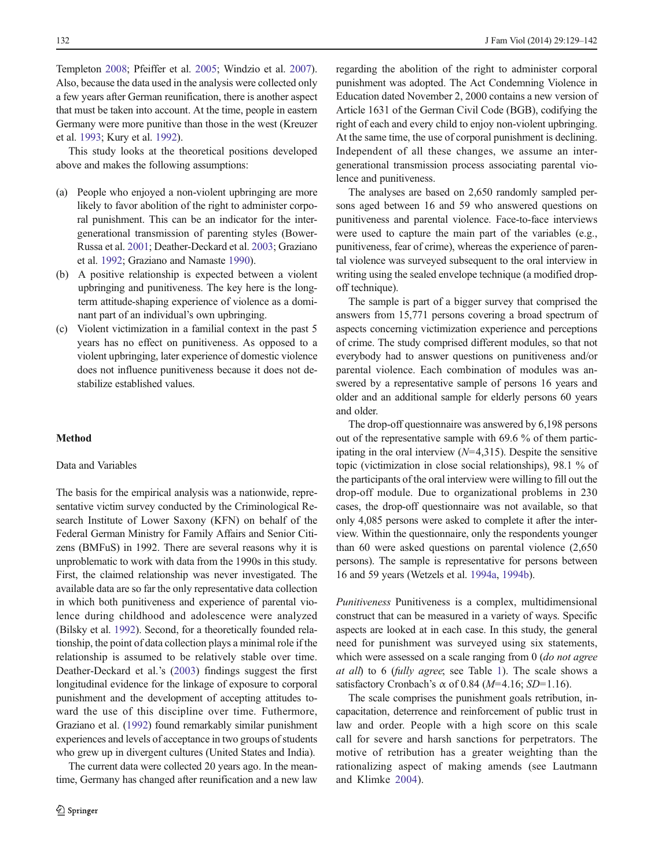132 J Fam Viol (2014) 29:129–142

Templeton [2008;](#page-11-0) Pfeiffer et al. [2005](#page-12-0); Windzio et al. [2007\)](#page-13-0). Also, because the data used in the analysis were collected only a few years after German reunification, there is another aspect that must be taken into account. At the time, people in eastern Germany were more punitive than those in the west (Kreuzer et al. [1993](#page-11-0); Kury et al. [1992](#page-11-0)).

This study looks at the theoretical positions developed above and makes the following assumptions:

- (a) People who enjoyed a non-violent upbringing are more likely to favor abolition of the right to administer corporal punishment. This can be an indicator for the intergenerational transmission of parenting styles (Bower-Russa et al. [2001;](#page-11-0) Deather-Deckard et al. [2003;](#page-11-0) Graziano et al. [1992](#page-11-0); Graziano and Namaste [1990\)](#page-11-0).
- (b) A positive relationship is expected between a violent upbringing and punitiveness. The key here is the longterm attitude-shaping experience of violence as a dominant part of an individual's own upbringing.
- (c) Violent victimization in a familial context in the past 5 years has no effect on punitiveness. As opposed to a violent upbringing, later experience of domestic violence does not influence punitiveness because it does not destabilize established values.

## Method

## Data and Variables

The basis for the empirical analysis was a nationwide, representative victim survey conducted by the Criminological Research Institute of Lower Saxony (KFN) on behalf of the Federal German Ministry for Family Affairs and Senior Citizens (BMFuS) in 1992. There are several reasons why it is unproblematic to work with data from the 1990s in this study. First, the claimed relationship was never investigated. The available data are so far the only representative data collection in which both punitiveness and experience of parental violence during childhood and adolescence were analyzed (Bilsky et al. [1992](#page-11-0)). Second, for a theoretically founded relationship, the point of data collection plays a minimal role if the relationship is assumed to be relatively stable over time. Deather-Deckard et al.'s [\(2003](#page-11-0)) findings suggest the first longitudinal evidence for the linkage of exposure to corporal punishment and the development of accepting attitudes toward the use of this discipline over time. Futhermore, Graziano et al. [\(1992\)](#page-11-0) found remarkably similar punishment experiences and levels of acceptance in two groups of students who grew up in divergent cultures (United States and India).

The current data were collected 20 years ago. In the meantime, Germany has changed after reunification and a new law regarding the abolition of the right to administer corporal punishment was adopted. The Act Condemning Violence in Education dated November 2, 2000 contains a new version of Article 1631 of the German Civil Code (BGB), codifying the right of each and every child to enjoy non-violent upbringing. At the same time, the use of corporal punishment is declining. Independent of all these changes, we assume an intergenerational transmission process associating parental violence and punitiveness.

The analyses are based on 2,650 randomly sampled persons aged between 16 and 59 who answered questions on punitiveness and parental violence. Face-to-face interviews were used to capture the main part of the variables (e.g., punitiveness, fear of crime), whereas the experience of parental violence was surveyed subsequent to the oral interview in writing using the sealed envelope technique (a modified dropoff technique).

The sample is part of a bigger survey that comprised the answers from 15,771 persons covering a broad spectrum of aspects concerning victimization experience and perceptions of crime. The study comprised different modules, so that not everybody had to answer questions on punitiveness and/or parental violence. Each combination of modules was answered by a representative sample of persons 16 years and older and an additional sample for elderly persons 60 years and older.

The drop-off questionnaire was answered by 6,198 persons out of the representative sample with 69.6 % of them participating in the oral interview  $(N=4,315)$ . Despite the sensitive topic (victimization in close social relationships), 98.1 % of the participants of the oral interview were willing to fill out the drop-off module. Due to organizational problems in 230 cases, the drop-off questionnaire was not available, so that only 4,085 persons were asked to complete it after the interview. Within the questionnaire, only the respondents younger than 60 were asked questions on parental violence (2,650 persons). The sample is representative for persons between 16 and 59 years (Wetzels et al. [1994a](#page-12-0), [1994b\)](#page-12-0).

Punitiveness Punitiveness is a complex, multidimensional construct that can be measured in a variety of ways. Specific aspects are looked at in each case. In this study, the general need for punishment was surveyed using six statements, which were assessed on a scale ranging from 0 *(do not agree*) at all) to 6 (fully agree; see Table [1\)](#page-4-0). The scale shows a satisfactory Cronbach's  $\alpha$  of 0.84 ( $M=4.16$ ; SD=1.16).

The scale comprises the punishment goals retribution, incapacitation, deterrence and reinforcement of public trust in law and order. People with a high score on this scale call for severe and harsh sanctions for perpetrators. The motive of retribution has a greater weighting than the rationalizing aspect of making amends (see Lautmann and Klimke [2004](#page-12-0)).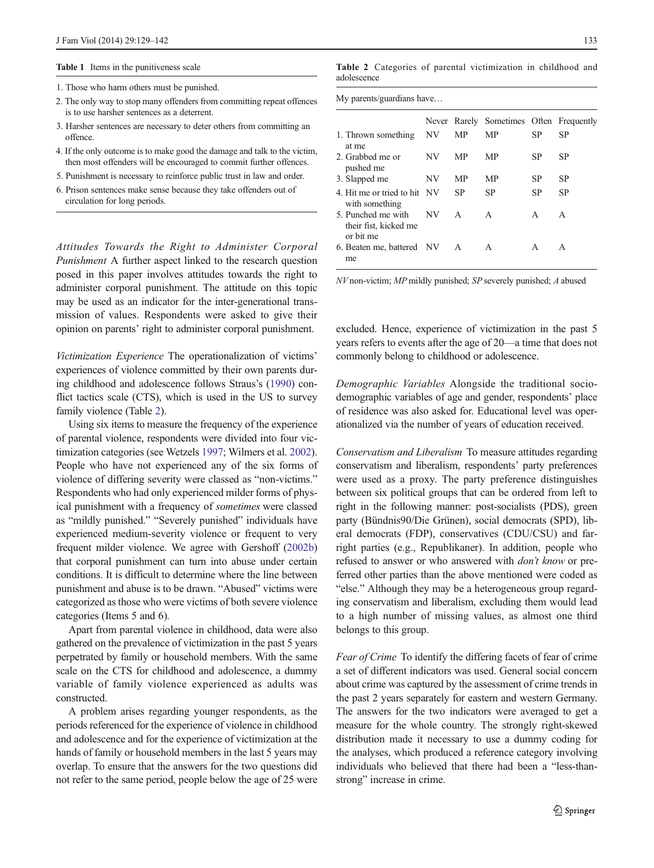#### <span id="page-4-0"></span>Table 1 Items in the punitiveness scale

- 1. Those who harm others must be punished.
- 2. The only way to stop many offenders from committing repeat offences is to use harsher sentences as a deterrent.
- 3. Harsher sentences are necessary to deter others from committing an offence.
- 4. If the only outcome is to make good the damage and talk to the victim, then most offenders will be encouraged to commit further offences.
- 5. Punishment is necessary to reinforce public trust in law and order.
- 6. Prison sentences make sense because they take offenders out of circulation for long periods.

Attitudes Towards the Right to Administer Corporal Punishment A further aspect linked to the research question posed in this paper involves attitudes towards the right to administer corporal punishment. The attitude on this topic may be used as an indicator for the inter-generational transmission of values. Respondents were asked to give their opinion on parents' right to administer corporal punishment.

Victimization Experience The operationalization of victims' experiences of violence committed by their own parents during childhood and adolescence follows Straus's ([1990](#page-12-0)) conflict tactics scale (CTS), which is used in the US to survey family violence (Table 2).

Using six items to measure the frequency of the experience of parental violence, respondents were divided into four victimization categories (see Wetzels [1997](#page-12-0); Wilmers et al. [2002\)](#page-12-0). People who have not experienced any of the six forms of violence of differing severity were classed as "non-victims." Respondents who had only experienced milder forms of physical punishment with a frequency of sometimes were classed as "mildly punished." "Severely punished" individuals have experienced medium-severity violence or frequent to very frequent milder violence. We agree with Gershoff [\(2002b\)](#page-11-0) that corporal punishment can turn into abuse under certain conditions. It is difficult to determine where the line between punishment and abuse is to be drawn. "Abused" victims were categorized as those who were victims of both severe violence categories (Items 5 and 6).

Apart from parental violence in childhood, data were also gathered on the prevalence of victimization in the past 5 years perpetrated by family or household members. With the same scale on the CTS for childhood and adolescence, a dummy variable of family violence experienced as adults was constructed.

A problem arises regarding younger respondents, as the periods referenced for the experience of violence in childhood and adolescence and for the experience of victimization at the hands of family or household members in the last 5 years may overlap. To ensure that the answers for the two questions did not refer to the same period, people below the age of 25 were

Table 2 Categories of parental victimization in childhood and adolescence

| My parents/guardians have                                |     |              |                                         |    |           |  |  |  |
|----------------------------------------------------------|-----|--------------|-----------------------------------------|----|-----------|--|--|--|
|                                                          |     |              | Never Rarely Sometimes Often Frequently |    |           |  |  |  |
| 1. Thrown something<br>at me                             | ΝV  | МP           | МP                                      | SP | SP        |  |  |  |
| 2. Grabbed me or<br>pushed me                            | NV  | MP           | МP                                      | SP | SP        |  |  |  |
| 3. Slapped me                                            | NV. | MP           | MP                                      | SP | SP        |  |  |  |
| 4. Hit me or tried to hit. NV<br>with something          |     | SP           | SP                                      | SP | <b>SP</b> |  |  |  |
| 5. Punched me with<br>their fist, kicked me<br>or bit me | NV  | $\mathsf{A}$ | A                                       | A  | A         |  |  |  |
| 6. Beaten me, battered NV<br>me                          |     | A            | A                                       | А  | A         |  |  |  |

NV non-victim; MP mildly punished; SP severely punished; A abused

excluded. Hence, experience of victimization in the past 5 years refers to events after the age of 20—a time that does not commonly belong to childhood or adolescence.

Demographic Variables Alongside the traditional sociodemographic variables of age and gender, respondents' place of residence was also asked for. Educational level was operationalized via the number of years of education received.

Conservatism and Liberalism To measure attitudes regarding conservatism and liberalism, respondents' party preferences were used as a proxy. The party preference distinguishes between six political groups that can be ordered from left to right in the following manner: post-socialists (PDS), green party (Bündnis90/Die Grünen), social democrats (SPD), liberal democrats (FDP), conservatives (CDU/CSU) and farright parties (e.g., Republikaner). In addition, people who refused to answer or who answered with don't know or preferred other parties than the above mentioned were coded as "else." Although they may be a heterogeneous group regarding conservatism and liberalism, excluding them would lead to a high number of missing values, as almost one third belongs to this group.

Fear of Crime To identify the differing facets of fear of crime a set of different indicators was used. General social concern about crime was captured by the assessment of crime trends in the past 2 years separately for eastern and western Germany. The answers for the two indicators were averaged to get a measure for the whole country. The strongly right-skewed distribution made it necessary to use a dummy coding for the analyses, which produced a reference category involving individuals who believed that there had been a "less-thanstrong" increase in crime.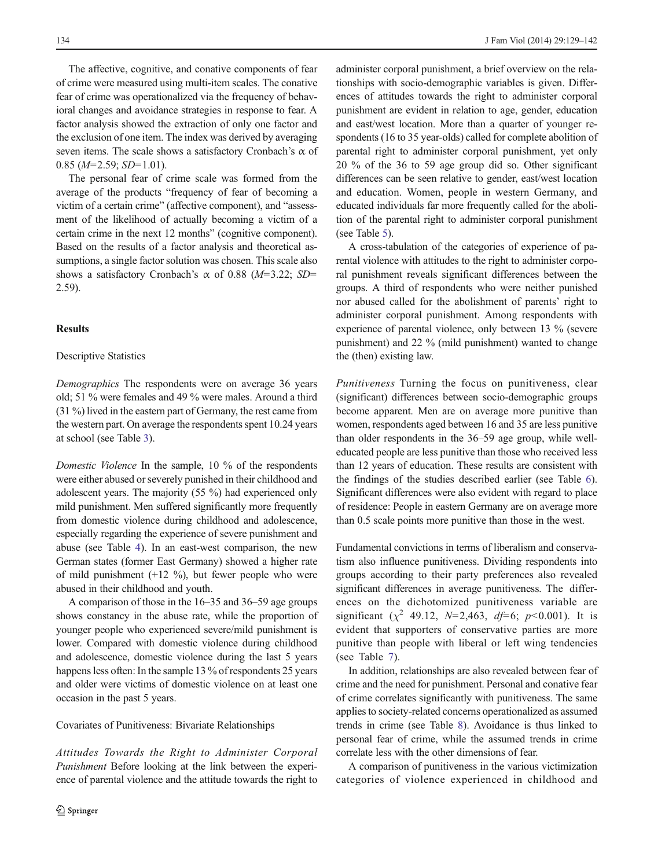The affective, cognitive, and conative components of fear of crime were measured using multi-item scales. The conative fear of crime was operationalized via the frequency of behavioral changes and avoidance strategies in response to fear. A factor analysis showed the extraction of only one factor and the exclusion of one item. The index was derived by averaging seven items. The scale shows a satisfactory Cronbach's  $\alpha$  of  $0.85$  (*M*=2.59; *SD*=1.01).

The personal fear of crime scale was formed from the average of the products "frequency of fear of becoming a victim of a certain crime" (affective component), and "assessment of the likelihood of actually becoming a victim of a certain crime in the next 12 months" (cognitive component). Based on the results of a factor analysis and theoretical assumptions, a single factor solution was chosen. This scale also shows a satisfactory Cronbach's  $\alpha$  of 0.88 (M=3.22; SD= 2.59).

## **Results**

#### Descriptive Statistics

Demographics The respondents were on average 36 years old; 51 % were females and 49 % were males. Around a third (31 %) lived in the eastern part of Germany, the rest came from the western part. On average the respondents spent 10.24 years at school (see Table [3\)](#page-6-0).

Domestic Violence In the sample, 10 % of the respondents were either abused or severely punished in their childhood and adolescent years. The majority (55 %) had experienced only mild punishment. Men suffered significantly more frequently from domestic violence during childhood and adolescence, especially regarding the experience of severe punishment and abuse (see Table [4](#page-7-0)). In an east-west comparison, the new German states (former East Germany) showed a higher rate of mild punishment  $(+12 \%)$ , but fewer people who were abused in their childhood and youth.

A comparison of those in the 16–35 and 36–59 age groups shows constancy in the abuse rate, while the proportion of younger people who experienced severe/mild punishment is lower. Compared with domestic violence during childhood and adolescence, domestic violence during the last 5 years happens less often: In the sample 13 % of respondents 25 years and older were victims of domestic violence on at least one occasion in the past 5 years.

#### Covariates of Punitiveness: Bivariate Relationships

Attitudes Towards the Right to Administer Corporal Punishment Before looking at the link between the experience of parental violence and the attitude towards the right to

administer corporal punishment, a brief overview on the relationships with socio-demographic variables is given. Differences of attitudes towards the right to administer corporal punishment are evident in relation to age, gender, education and east/west location. More than a quarter of younger respondents (16 to 35 year-olds) called for complete abolition of parental right to administer corporal punishment, yet only 20 % of the 36 to 59 age group did so. Other significant differences can be seen relative to gender, east/west location and education. Women, people in western Germany, and educated individuals far more frequently called for the abolition of the parental right to administer corporal punishment (see Table [5](#page-8-0)).

A cross-tabulation of the categories of experience of parental violence with attitudes to the right to administer corporal punishment reveals significant differences between the groups. A third of respondents who were neither punished nor abused called for the abolishment of parents' right to administer corporal punishment. Among respondents with experience of parental violence, only between 13 % (severe punishment) and 22 % (mild punishment) wanted to change the (then) existing law.

Punitiveness Turning the focus on punitiveness, clear (significant) differences between socio-demographic groups become apparent. Men are on average more punitive than women, respondents aged between 16 and 35 are less punitive than older respondents in the 36–59 age group, while welleducated people are less punitive than those who received less than 12 years of education. These results are consistent with the findings of the studies described earlier (see Table [6\)](#page-8-0). Significant differences were also evident with regard to place of residence: People in eastern Germany are on average more than 0.5 scale points more punitive than those in the west.

Fundamental convictions in terms of liberalism and conservatism also influence punitiveness. Dividing respondents into groups according to their party preferences also revealed significant differences in average punitiveness. The differences on the dichotomized punitiveness variable are significant ( $\chi^2$  49.12, N=2,463, df=6; p<0.001). It is evident that supporters of conservative parties are more punitive than people with liberal or left wing tendencies (see Table [7\)](#page-9-0).

In addition, relationships are also revealed between fear of crime and the need for punishment. Personal and conative fear of crime correlates significantly with punitiveness. The same applies to society-related concerns operationalized as assumed trends in crime (see Table [8\)](#page-9-0). Avoidance is thus linked to personal fear of crime, while the assumed trends in crime correlate less with the other dimensions of fear.

A comparison of punitiveness in the various victimization categories of violence experienced in childhood and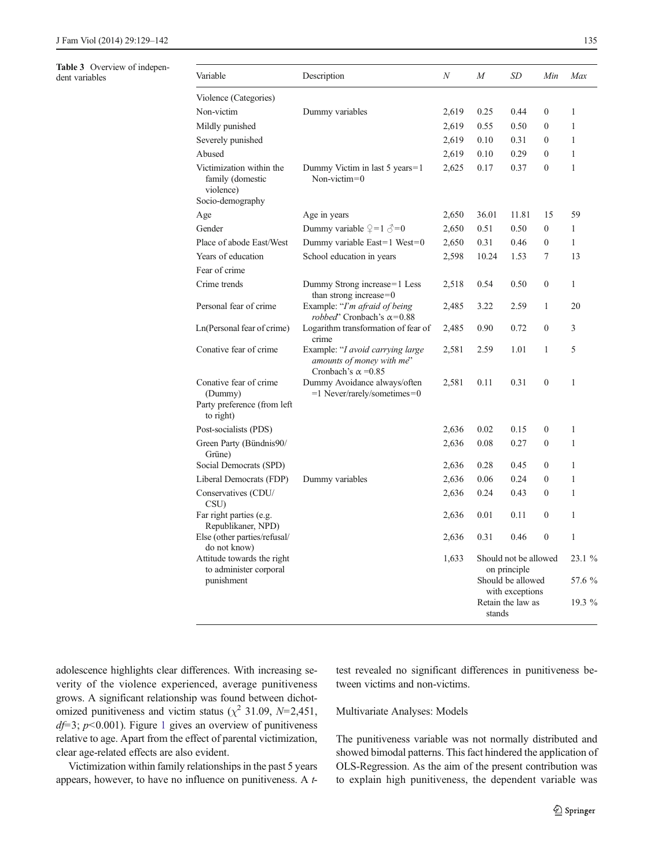# <span id="page-6-0"></span>Table 3 Overview of indepen-<br>dent variables

| <b>Table 3</b> OVERVIEW OF INDEPENSE<br>dent variables | Variable                                                                      | Description                                                                                | $\boldsymbol{N}$ | $\boldsymbol{M}$ | SD                                    | Min              | Max          |
|--------------------------------------------------------|-------------------------------------------------------------------------------|--------------------------------------------------------------------------------------------|------------------|------------------|---------------------------------------|------------------|--------------|
|                                                        | Violence (Categories)                                                         |                                                                                            |                  |                  |                                       |                  |              |
|                                                        | Non-victim                                                                    | Dummy variables                                                                            | 2,619            | 0.25             | 0.44                                  | $\boldsymbol{0}$ | $\mathbf{1}$ |
|                                                        | Mildly punished                                                               |                                                                                            | 2,619            | 0.55             | 0.50                                  | $\mathbf{0}$     | $\mathbf{1}$ |
|                                                        | Severely punished                                                             |                                                                                            | 2,619            | 0.10             | 0.31                                  | $\boldsymbol{0}$ | $\mathbf{1}$ |
|                                                        | Abused                                                                        |                                                                                            | 2,619            | 0.10             | 0.29                                  | $\boldsymbol{0}$ | $\mathbf{1}$ |
|                                                        | Victimization within the<br>family (domestic<br>violence)                     | Dummy Victim in last 5 years=1<br>Non-victim= $0$                                          | 2,625            | 0.17             | 0.37                                  | $\mathbf{0}$     | $\mathbf{1}$ |
|                                                        | Socio-demography                                                              |                                                                                            |                  |                  |                                       |                  |              |
|                                                        | Age                                                                           | Age in years                                                                               | 2,650            | 36.01            | 11.81                                 | 15               | 59           |
|                                                        | Gender                                                                        | Dummy variable $\mathcal{Q}=1 \mathcal{Z}=0$                                               | 2,650            | 0.51             | 0.50                                  | $\boldsymbol{0}$ | $\mathbf{1}$ |
|                                                        | Place of abode East/West                                                      | Dummy variable East=1 West=0                                                               | 2,650            | 0.31             | 0.46                                  | $\boldsymbol{0}$ | $\mathbf{1}$ |
|                                                        | Years of education                                                            | School education in years                                                                  | 2,598            | 10.24            | 1.53                                  | 7                | 13           |
|                                                        | Fear of crime                                                                 |                                                                                            |                  |                  |                                       |                  |              |
|                                                        | Crime trends                                                                  | Dummy Strong increase=1 Less<br>than strong increase= $0$                                  | 2,518            | 0.54             | 0.50                                  | $\boldsymbol{0}$ | $\mathbf{1}$ |
|                                                        | Personal fear of crime                                                        | Example: "I'm afraid of being<br>robbed' Cronbach's $\alpha$ =0.88                         | 2,485            | 3.22             | 2.59                                  | $\mathbf{1}$     | 20           |
|                                                        | Ln(Personal fear of crime)                                                    | Logarithm transformation of fear of<br>crime                                               | 2,485            | 0.90             | 0.72                                  | $\boldsymbol{0}$ | 3            |
|                                                        | Conative fear of crime                                                        | Example: "I avoid carrying large<br>amounts of money with me"<br>Cronbach's $\alpha$ =0.85 | 2,581            | 2.59             | 1.01                                  | $\mathbf{1}$     | 5            |
|                                                        | Conative fear of crime<br>(Dummy)<br>Party preference (from left<br>to right) | Dummy Avoidance always/often<br>=1 Never/rarely/sometimes=0                                | 2,581            | 0.11             | 0.31                                  | $\boldsymbol{0}$ | $\mathbf{1}$ |
|                                                        | Post-socialists (PDS)                                                         |                                                                                            | 2,636            | 0.02             | 0.15                                  | $\boldsymbol{0}$ | $\mathbf{1}$ |
|                                                        | Green Party (Bündnis90/<br>Grüne)                                             |                                                                                            | 2,636            | 0.08             | 0.27                                  | $\boldsymbol{0}$ | $\mathbf{1}$ |
|                                                        | Social Democrats (SPD)                                                        |                                                                                            | 2,636            | 0.28             | 0.45                                  | $\mathbf{0}$     | $\mathbf{1}$ |
|                                                        | Liberal Democrats (FDP)                                                       | Dummy variables                                                                            | 2,636            | 0.06             | 0.24                                  | $\mathbf{0}$     | $\mathbf{1}$ |
|                                                        | Conservatives (CDU/<br>CSU)                                                   |                                                                                            | 2,636            | 0.24             | 0.43                                  | $\boldsymbol{0}$ | $\mathbf{1}$ |
|                                                        | Far right parties (e.g.<br>Republikaner, NPD)                                 |                                                                                            | 2,636            | 0.01             | 0.11                                  | $\mathbf{0}$     | $\mathbf{1}$ |
|                                                        | Else (other parties/refusal/<br>do not know)                                  |                                                                                            | 2,636            | 0.31             | 0.46                                  | $\boldsymbol{0}$ | $\mathbf{1}$ |
|                                                        | Attitude towards the right<br>to administer corporal                          |                                                                                            | 1,633            |                  | Should not be allowed<br>on principle |                  | $23.1\%$     |
|                                                        | punishment                                                                    |                                                                                            |                  |                  | Should be allowed<br>with exceptions  |                  | 57.6 %       |
|                                                        |                                                                               |                                                                                            |                  | stands           | Retain the law as                     |                  | 19.3 %       |

adolescence highlights clear differences. With increasing severity of the violence experienced, average punitiveness grows. A significant relationship was found between dichotomized punitiveness and victim status ( $\chi^2$  31.09, N=2,451,  $df=3$ ;  $p<0.001$  $p<0.001$ ). Figure 1 gives an overview of punitiveness relative to age. Apart from the effect of parental victimization, clear age-related effects are also evident.

Victimization within family relationships in the past 5 years appears, however, to have no influence on punitiveness. A ttest revealed no significant differences in punitiveness between victims and non-victims.

## Multivariate Analyses: Models

The punitiveness variable was not normally distributed and showed bimodal patterns. This fact hindered the application of OLS-Regression. As the aim of the present contribution was to explain high punitiveness, the dependent variable was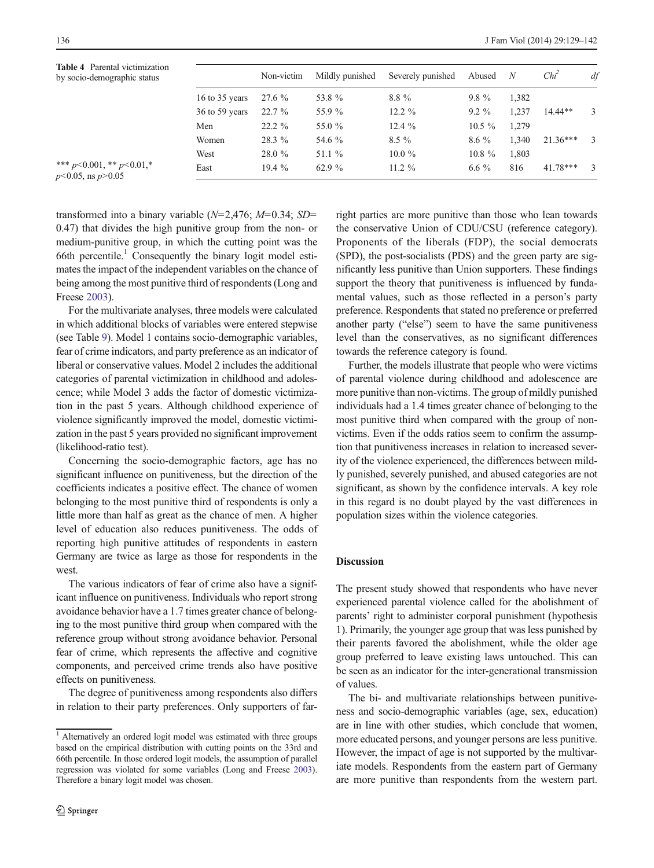<span id="page-7-0"></span>

| <b>Table 4</b> Parental victimization<br>by socio-demographic status |                  | Non-victim | Mildly punished | Severely punished | Abused    | N     | $Chi^2$    | df            |
|----------------------------------------------------------------------|------------------|------------|-----------------|-------------------|-----------|-------|------------|---------------|
|                                                                      | 16 to $35$ years | 27.6 %     | 53.8 %          | $8.8\%$           | $9.8\%$   | 1,382 |            |               |
|                                                                      | $36$ to 59 years | $22.7\%$   | 55.9 %          | 12.2 $%$          | $9.2\%$   | 1,237 | $14.44**$  | 3             |
|                                                                      | Men              | $22.2 \%$  | 55.0 %          | 12.4 $%$          | $10.5\%$  | 1.279 |            |               |
|                                                                      | Women            | 28.3 %     | 54.6 %          | $8.5\%$           | $8.6\%$   | 1,340 | $21.36***$ | 3             |
|                                                                      | West             | 28.0 %     | 51.1 $%$        | $10.0 \%$         | $10.8 \%$ | 1,803 |            |               |
| *** $p<0.001$ , ** $p<0.01$ , *<br>$p<0.05$ , ns $p>0.05$            | East             | 19.4 $%$   | 62.9 %          | 11.2 $%$          | $6.6\%$   | 816   | $41.78***$ | $\mathcal{R}$ |

transformed into a binary variable  $(N=2,476; M=0.34; SD=$ 0.47) that divides the high punitive group from the non- or medium-punitive group, in which the cutting point was the 66th percentile.<sup>1</sup> Consequently the binary logit model estimates the impact of the independent variables on the chance of being among the most punitive third of respondents (Long and Freese [2003](#page-12-0)).

For the multivariate analyses, three models were calculated in which additional blocks of variables were entered stepwise (see Table [9\)](#page-10-0). Model 1 contains socio-demographic variables, fear of crime indicators, and party preference as an indicator of liberal or conservative values. Model 2 includes the additional categories of parental victimization in childhood and adolescence; while Model 3 adds the factor of domestic victimization in the past 5 years. Although childhood experience of violence significantly improved the model, domestic victimization in the past 5 years provided no significant improvement (likelihood-ratio test).

Concerning the socio-demographic factors, age has no significant influence on punitiveness, but the direction of the coefficients indicates a positive effect. The chance of women belonging to the most punitive third of respondents is only a little more than half as great as the chance of men. A higher level of education also reduces punitiveness. The odds of reporting high punitive attitudes of respondents in eastern Germany are twice as large as those for respondents in the west.

The various indicators of fear of crime also have a significant influence on punitiveness. Individuals who report strong avoidance behavior have a 1.7 times greater chance of belonging to the most punitive third group when compared with the reference group without strong avoidance behavior. Personal fear of crime, which represents the affective and cognitive components, and perceived crime trends also have positive effects on punitiveness.

The degree of punitiveness among respondents also differs in relation to their party preferences. Only supporters of farright parties are more punitive than those who lean towards the conservative Union of CDU/CSU (reference category). Proponents of the liberals (FDP), the social democrats (SPD), the post-socialists (PDS) and the green party are significantly less punitive than Union supporters. These findings support the theory that punitiveness is influenced by fundamental values, such as those reflected in a person's party preference. Respondents that stated no preference or preferred another party ("else") seem to have the same punitiveness level than the conservatives, as no significant differences towards the reference category is found.

Further, the models illustrate that people who were victims of parental violence during childhood and adolescence are more punitive than non-victims. The group of mildly punished individuals had a 1.4 times greater chance of belonging to the most punitive third when compared with the group of nonvictims. Even if the odds ratios seem to confirm the assumption that punitiveness increases in relation to increased severity of the violence experienced, the differences between mildly punished, severely punished, and abused categories are not significant, as shown by the confidence intervals. A key role in this regard is no doubt played by the vast differences in population sizes within the violence categories.

## Discussion

The present study showed that respondents who have never experienced parental violence called for the abolishment of parents' right to administer corporal punishment (hypothesis 1). Primarily, the younger age group that was less punished by their parents favored the abolishment, while the older age group preferred to leave existing laws untouched. This can be seen as an indicator for the inter-generational transmission of values.

The bi- and multivariate relationships between punitiveness and socio-demographic variables (age, sex, education) are in line with other studies, which conclude that women, more educated persons, and younger persons are less punitive. However, the impact of age is not supported by the multivariate models. Respondents from the eastern part of Germany are more punitive than respondents from the western part.

<sup>&</sup>lt;sup>1</sup> Alternatively an ordered logit model was estimated with three groups based on the empirical distribution with cutting points on the 33rd and 66th percentile. In those ordered logit models, the assumption of parallel regression was violated for some variables (Long and Freese [2003](#page-12-0)). Therefore a binary logit model was chosen.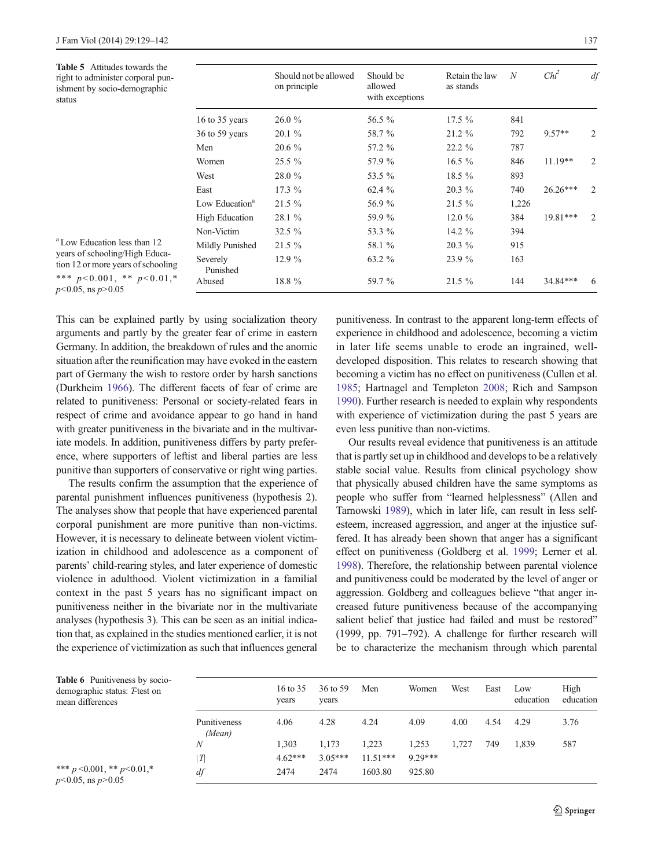<span id="page-8-0"></span>Table 5 Attitudes towards the right to administer corporal punishment by socio-demographic status

|                            | Should not be allowed<br>on principle | Should be<br>allowed<br>with exceptions | Retain the law<br>as stands | $\overline{N}$ | $Chi^2$    | df |
|----------------------------|---------------------------------------|-----------------------------------------|-----------------------------|----------------|------------|----|
| 16 to 35 years             | 26.0%                                 | 56.5 %                                  | $17.5\%$                    | 841            |            |    |
| 36 to 59 years             | $20.1 \%$                             | 58.7 %                                  | $21.2 \%$                   | 792            | $9.57**$   | 2  |
| Men                        | $20.6\%$                              | 57.2 %                                  | $22.2\%$                    | 787            |            |    |
| Women                      | $25.5\%$                              | 57.9 %                                  | $16.5\%$                    | 846            | $11.19**$  | 2  |
| West                       | 28.0 %                                | 53.5 %                                  | 18.5 %                      | 893            |            |    |
| East                       | $17.3\%$                              | 62.4 $%$                                | 20.3 %                      | 740            | $26.26***$ | 2  |
| Low Education <sup>a</sup> | $21.5 \%$                             | 56.9 %                                  | $21.5\%$                    | 1,226          |            |    |
| <b>High Education</b>      | 28.1 %                                | 59.9 %                                  | $12.0 \%$                   | 384            | 19.81***   | 2  |
| Non-Victim                 | $32.5\%$                              | 53.3 %                                  | 14.2 %                      | 394            |            |    |
| Mildly Punished            | $21.5\%$                              | 58.1 %                                  | $20.3\%$                    | 915            |            |    |
| Severely<br>Punished       | 12.9%                                 | 63.2 %                                  | 23.9 %                      | 163            |            |    |
| Abused                     | 18.8 %                                | 59.7 %                                  | $21.5\%$                    | 144            | 34.84***   | 6  |
|                            |                                       |                                         |                             |                |            |    |

a Low Education less than 12 years of schooling/High Education 12 or more years of schooling \*\*\*  $p < 0.001$ , \*\*  $p < 0.01$  $p<0.05$ , ns  $p>0.05$ 

This can be explained partly by using socialization theory arguments and partly by the greater fear of crime in eastern Germany. In addition, the breakdown of rules and the anomic situation after the reunification may have evoked in the eastern part of Germany the wish to restore order by harsh sanctions (Durkheim [1966](#page-11-0)). The different facets of fear of crime are related to punitiveness: Personal or society-related fears in respect of crime and avoidance appear to go hand in hand with greater punitiveness in the bivariate and in the multivariate models. In addition, punitiveness differs by party preference, where supporters of leftist and liberal parties are less punitive than supporters of conservative or right wing parties.

The results confirm the assumption that the experience of parental punishment influences punitiveness (hypothesis 2). The analyses show that people that have experienced parental corporal punishment are more punitive than non-victims. However, it is necessary to delineate between violent victimization in childhood and adolescence as a component of parents' child-rearing styles, and later experience of domestic violence in adulthood. Violent victimization in a familial context in the past 5 years has no significant impact on punitiveness neither in the bivariate nor in the multivariate analyses (hypothesis 3). This can be seen as an initial indication that, as explained in the studies mentioned earlier, it is not the experience of victimization as such that influences general

punitiveness. In contrast to the apparent long-term effects of experience in childhood and adolescence, becoming a victim in later life seems unable to erode an ingrained, welldeveloped disposition. This relates to research showing that becoming a victim has no effect on punitiveness (Cullen et al. [1985;](#page-11-0) Hartnagel and Templeton [2008;](#page-11-0) Rich and Sampson [1990\)](#page-12-0). Further research is needed to explain why respondents with experience of victimization during the past 5 years are even less punitive than non-victims.

Our results reveal evidence that punitiveness is an attitude that is partly set up in childhood and develops to be a relatively stable social value. Results from clinical psychology show that physically abused children have the same symptoms as people who suffer from "learned helplessness" (Allen and Tarnowski [1989](#page-11-0)), which in later life, can result in less selfesteem, increased aggression, and anger at the injustice suffered. It has already been shown that anger has a significant effect on punitiveness (Goldberg et al. [1999;](#page-11-0) Lerner et al. [1998\)](#page-12-0). Therefore, the relationship between parental violence and punitiveness could be moderated by the level of anger or aggression. Goldberg and colleagues believe "that anger increased future punitiveness because of the accompanying salient belief that justice had failed and must be restored" (1999, pp. 791–792). A challenge for further research will be to characterize the mechanism through which parental

| <b>Table 6</b> Punitiveness by socio-<br>demographic status: T-test on<br>mean differences |                        | 16 to 35<br>years | 36 to 59<br>years | Men        | Women     | West  | East | Low<br>education | High<br>education |
|--------------------------------------------------------------------------------------------|------------------------|-------------------|-------------------|------------|-----------|-------|------|------------------|-------------------|
|                                                                                            | Punitiveness<br>(Mean) | 4.06              | 4.28              | 4.24       | 4.09      | 4.00  | 4.54 | 4.29             | 3.76              |
|                                                                                            | N                      | 1.303             | 1,173             | .223       | 1,253     | 1.727 | 749  | 1.839            | 587               |
|                                                                                            | $\tau$                 | $4.62***$         | $3.05***$         | $11.51***$ | $9.29***$ |       |      |                  |                   |
| *** $p \le 0.001$ , ** $p \le 0.01$ ,*<br>$m < 0.05$ $m < 0.05$                            | df                     | 2474              | 2474              | 1603.80    | 925.80    |       |      |                  |                   |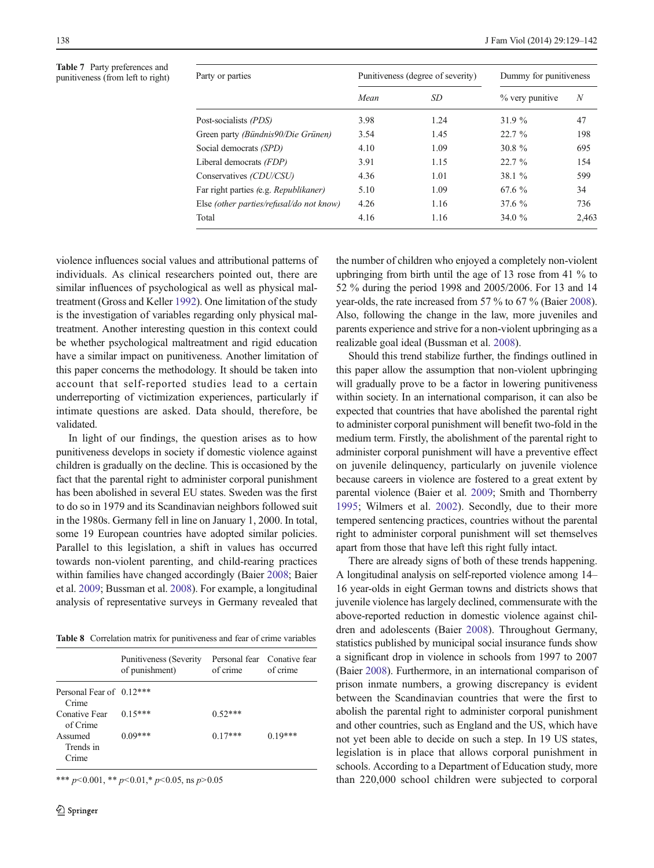<span id="page-9-0"></span>Table 7 Party preferences and punitiveness (from left to right)  $\frac{P}{Q}$ 

| Party or parties                         |      | Punitiveness (degree of severity) | Dummy for punitiveness |       |  |
|------------------------------------------|------|-----------------------------------|------------------------|-------|--|
|                                          | Mean | SD                                | % very punitive        | N     |  |
| Post-socialists (PDS)                    | 3.98 | 1.24                              | 31.9 %                 | 47    |  |
| Green party (Bündnis90/Die Grünen)       | 3.54 | 1.45                              | 22.7%                  | 198   |  |
| Social democrats (SPD)                   | 4.10 | 1.09                              | 30.8 $%$               | 695   |  |
| Liberal democrats (FDP)                  | 3.91 | 1.15                              | 22.7%                  | 154   |  |
| Conservatives (CDU/CSU)                  | 4.36 | 1.01                              | 38.1 %                 | 599   |  |
| Far right parties (e.g. Republikaner)    | 5.10 | 1.09                              | 67.6 %                 | 34    |  |
| Else (other parties/refusal/do not know) | 4.26 | 1.16                              | $37.6 \%$              | 736   |  |
| Total                                    | 4.16 | 1.16                              | 34.0 $%$               | 2,463 |  |
|                                          |      |                                   |                        |       |  |

violence influences social values and attributional patterns of individuals. As clinical researchers pointed out, there are similar influences of psychological as well as physical maltreatment (Gross and Keller [1992\)](#page-11-0). One limitation of the study is the investigation of variables regarding only physical maltreatment. Another interesting question in this context could be whether psychological maltreatment and rigid education have a similar impact on punitiveness. Another limitation of this paper concerns the methodology. It should be taken into account that self-reported studies lead to a certain underreporting of victimization experiences, particularly if intimate questions are asked. Data should, therefore, be validated.

In light of our findings, the question arises as to how punitiveness develops in society if domestic violence against children is gradually on the decline. This is occasioned by the fact that the parental right to administer corporal punishment has been abolished in several EU states. Sweden was the first to do so in 1979 and its Scandinavian neighbors followed suit in the 1980s. Germany fell in line on January 1, 2000. In total, some 19 European countries have adopted similar policies. Parallel to this legislation, a shift in values has occurred towards non-violent parenting, and child-rearing practices within families have changed accordingly (Baier [2008;](#page-11-0) Baier et al. [2009](#page-11-0); Bussman et al. [2008\)](#page-11-0). For example, a longitudinal analysis of representative surveys in Germany revealed that

Table 8 Correlation matrix for punitiveness and fear of crime variables

|                                   | Punitiveness (Severity<br>of punishment) | of crime  | Personal fear Conative fear<br>of crime |
|-----------------------------------|------------------------------------------|-----------|-----------------------------------------|
| Personal Fear of 0.12***<br>Crime |                                          |           |                                         |
| Conative Fear<br>of Crime         | $0.15***$                                | $0.52***$ |                                         |
| Assumed<br>Trends in<br>Crime     | $0.09***$                                | $0.17***$ | $0.19***$                               |

\*\*\*  $p<0.001$ , \*\*  $p<0.01$ , \*  $p<0.05$ , ns  $p>0.05$ 

the number of children who enjoyed a completely non-violent upbringing from birth until the age of 13 rose from 41 % to 52 % during the period 1998 and 2005/2006. For 13 and 14 year-olds, the rate increased from 57 % to 67 % (Baier [2008\)](#page-11-0). Also, following the change in the law, more juveniles and parents experience and strive for a non-violent upbringing as a realizable goal ideal (Bussman et al. [2008](#page-11-0)).

Should this trend stabilize further, the findings outlined in this paper allow the assumption that non-violent upbringing will gradually prove to be a factor in lowering punitiveness within society. In an international comparison, it can also be expected that countries that have abolished the parental right to administer corporal punishment will benefit two-fold in the medium term. Firstly, the abolishment of the parental right to administer corporal punishment will have a preventive effect on juvenile delinquency, particularly on juvenile violence because careers in violence are fostered to a great extent by parental violence (Baier et al. [2009;](#page-11-0) Smith and Thornberry [1995](#page-12-0); Wilmers et al. [2002\)](#page-12-0). Secondly, due to their more tempered sentencing practices, countries without the parental right to administer corporal punishment will set themselves apart from those that have left this right fully intact.

There are already signs of both of these trends happening. A longitudinal analysis on self-reported violence among 14– 16 year-olds in eight German towns and districts shows that juvenile violence has largely declined, commensurate with the above-reported reduction in domestic violence against children and adolescents (Baier [2008\)](#page-11-0). Throughout Germany, statistics published by municipal social insurance funds show a significant drop in violence in schools from 1997 to 2007 (Baier [2008\)](#page-11-0). Furthermore, in an international comparison of prison inmate numbers, a growing discrepancy is evident between the Scandinavian countries that were the first to abolish the parental right to administer corporal punishment and other countries, such as England and the US, which have not yet been able to decide on such a step. In 19 US states, legislation is in place that allows corporal punishment in schools. According to a Department of Education study, more than 220,000 school children were subjected to corporal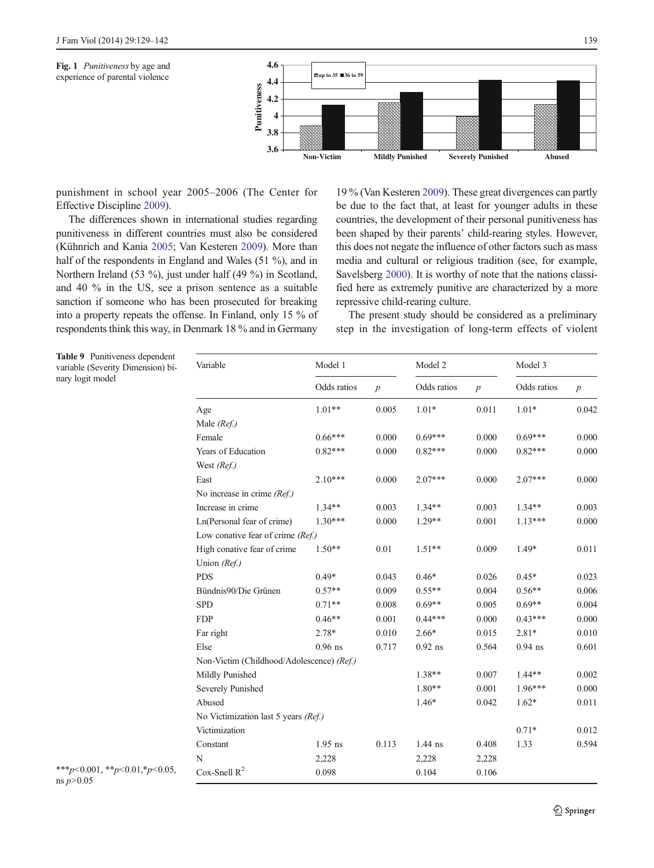<span id="page-10-0"></span>



punishment in school year 2005–2006 (The Center for Effective Discipline [2009\)](#page-12-0).

The differences shown in international studies regarding punitiveness in different countries must also be considered (Kühnrich and Kania [2005;](#page-11-0) Van Kesteren [2009](#page-12-0)). More than half of the respondents in England and Wales (51 %), and in Northern Ireland (53 %), just under half (49 %) in Scotland, and 40 % in the US, see a prison sentence as a suitable sanction if someone who has been prosecuted for breaking into a property repeats the offense. In Finland, only 15 % of respondents think this way, in Denmark 18 % and in Germany

19 % (Van Kesteren [2009](#page-12-0)). These great divergences can partly be due to the fact that, at least for younger adults in these countries, the development of their personal punitiveness has been shaped by their parents' child-rearing styles. However, this does not negate the influence of other factors such as mass media and cultural or religious tradition (see, for example, Savelsberg [2000\)](#page-12-0). It is worthy of note that the nations classified here as extremely punitive are characterized by a more repressive child-rearing culture.

The present study should be considered as a preliminary step in the investigation of long-term effects of violent

Table 9 Punitiveness dependent variable (Severity Dimension) binary logit model

| Variable                                  | Model 1     |                  | Model 2     |                  | Model 3     |                  |  |
|-------------------------------------------|-------------|------------------|-------------|------------------|-------------|------------------|--|
|                                           | Odds ratios | $\boldsymbol{p}$ | Odds ratios | $\boldsymbol{p}$ | Odds ratios | $\boldsymbol{p}$ |  |
| Age                                       | $1.01**$    | 0.005            | $1.01*$     | 0.011            | $1.01*$     | 0.042            |  |
| Male (Ref.)                               |             |                  |             |                  |             |                  |  |
| Female                                    | $0.66***$   | 0.000            | $0.69***$   | 0.000            | $0.69***$   | 0.000            |  |
| Years of Education                        | $0.82***$   | 0.000            | $0.82***$   | 0.000            | $0.82***$   | 0.000            |  |
| West (Ref.)                               |             |                  |             |                  |             |                  |  |
| East                                      | $2.10***$   | 0.000            | $2.07***$   | 0.000            | $2.07***$   | 0.000            |  |
| No increase in crime $(Ref.)$             |             |                  |             |                  |             |                  |  |
| Increase in crime                         | $1.34**$    | 0.003            | $1.34**$    | 0.003            | $1.34**$    | 0.003            |  |
| Ln(Personal fear of crime)                | $1.30***$   | 0.000            | $1.29**$    | 0.001            | $1.13***$   | 0.000            |  |
| Low conative fear of crime (Ref.)         |             |                  |             |                  |             |                  |  |
| High conative fear of crime               | $1.50**$    | 0.01             | $1.51**$    | 0.009            | 1.49*       | 0.011            |  |
| Union (Ref.)                              |             |                  |             |                  |             |                  |  |
| <b>PDS</b>                                | $0.49*$     | 0.043            | $0.46*$     | 0.026            | $0.45*$     | 0.023            |  |
| Bündnis90/Die Grünen                      | $0.57**$    | 0.009            | $0.55**$    | 0.004            | $0.56**$    | 0.006            |  |
| <b>SPD</b>                                | $0.71**$    | 0.008            | $0.69**$    | 0.005            | $0.69**$    | 0.004            |  |
| <b>FDP</b>                                | $0.46**$    | 0.001            | $0.44***$   | 0.000            | $0.43***$   | 0.000            |  |
| Far right                                 | 2.78*       | 0.010            | $2.66*$     | 0.015            | $2.81*$     | 0.010            |  |
| Else                                      | $0.96$ ns   | 0.717            | $0.92$ ns   | 0.564            | $0.94$ ns   | 0.601            |  |
| Non-Victim (Childhood/Adolescence) (Ref.) |             |                  |             |                  |             |                  |  |
| Mildly Punished                           |             |                  | 1.38**      | 0.007            | $1.44**$    | 0.002            |  |
| Severely Punished                         |             |                  | $1.80**$    | 0.001            | 1.96***     | 0.000            |  |
| Abused                                    |             |                  | $1.46*$     | 0.042            | $1.62*$     | 0.011            |  |
| No Victimization last 5 years (Ref.)      |             |                  |             |                  |             |                  |  |
| Victimization                             |             |                  |             |                  | $0.71*$     | 0.012            |  |
| Constant                                  | $1.95$ ns   | 0.113            | 1.44 ns     | 0.408            | 1.33        | 0.594            |  |
| N                                         | 2,228       |                  | 2,228       | 2,228            |             |                  |  |
| Cox-Snell $R^2$                           | 0.098       |                  | 0.104       | 0.106            |             |                  |  |

\*\*\*p<0.001, \*\*p<0.01, \*p<0.05, ns  $p > 0.05$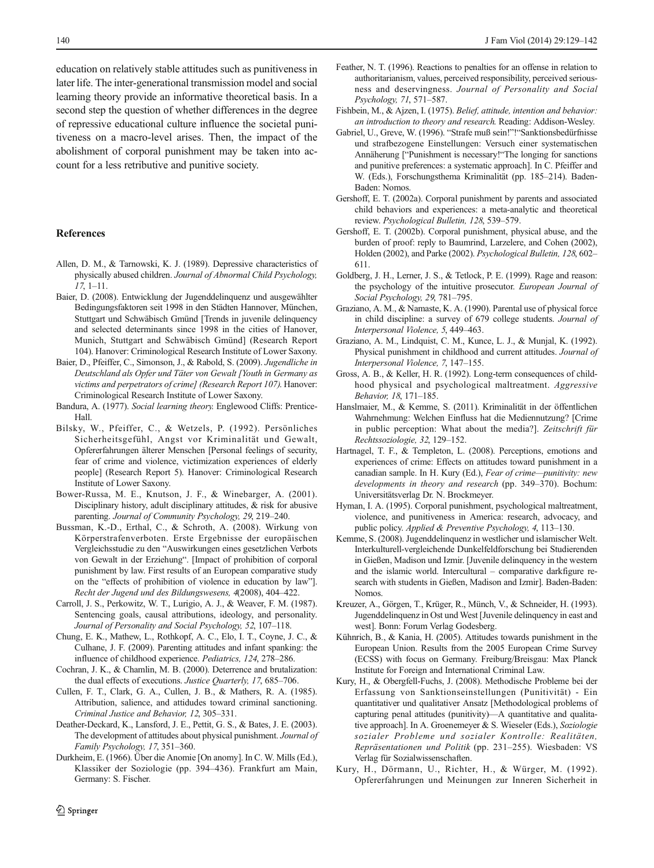<span id="page-11-0"></span>education on relatively stable attitudes such as punitiveness in later life. The inter-generational transmission model and social learning theory provide an informative theoretical basis. In a second step the question of whether differences in the degree of repressive educational culture influence the societal punitiveness on a macro-level arises. Then, the impact of the abolishment of corporal punishment may be taken into account for a less retributive and punitive society.

## References

- Allen, D. M., & Tarnowski, K. J. (1989). Depressive characteristics of physically abused children. Journal of Abnormal Child Psychology, 17, 1–11.
- Baier, D. (2008). Entwicklung der Jugenddelinquenz und ausgewählter Bedingungsfaktoren seit 1998 in den Städten Hannover, München, Stuttgart und Schwäbisch Gmünd [Trends in juvenile delinquency and selected determinants since 1998 in the cities of Hanover, Munich, Stuttgart and Schwäbisch Gmünd] (Research Report 104). Hanover: Criminological Research Institute of Lower Saxony.
- Baier, D., Pfeiffer, C., Simonson, J., & Rabold, S. (2009). Jugendliche in Deutschland als Opfer und Täter von Gewalt [Youth in Germany as victims and perpetrators of crime] (Research Report 107). Hanover: Criminological Research Institute of Lower Saxony.
- Bandura, A. (1977). Social learning theory. Englewood Cliffs: Prentice-Hall.
- Bilsky, W., Pfeiffer, C., & Wetzels, P. (1992). Persönliches Sicherheitsgefühl, Angst vor Kriminalität und Gewalt, Opfererfahrungen älterer Menschen [Personal feelings of security, fear of crime and violence, victimization experiences of elderly people] (Research Report 5). Hanover: Criminological Research Institute of Lower Saxony.
- Bower-Russa, M. E., Knutson, J. F., & Winebarger, A. (2001). Disciplinary history, adult disciplinary attitudes, & risk for abusive parenting. Journal of Community Psychology, 29, 219–240.
- Bussman, K.-D., Erthal, C., & Schroth, A. (2008). Wirkung von Körperstrafenverboten. Erste Ergebnisse der europäischen Vergleichsstudie zu den "Auswirkungen eines gesetzlichen Verbots von Gewalt in der Erziehung". [Impact of prohibition of corporal punishment by law. First results of an European comparative study on the "effects of prohibition of violence in education by law"]. Recht der Jugend und des Bildungswesens, 4(2008), 404–422.
- Carroll, J. S., Perkowitz, W. T., Lurigio, A. J., & Weaver, F. M. (1987). Sentencing goals, causal attributions, ideology, and personality. Journal of Personality and Social Psychology, 52, 107–118.
- Chung, E. K., Mathew, L., Rothkopf, A. C., Elo, I. T., Coyne, J. C., & Culhane, J. F. (2009). Parenting attitudes and infant spanking: the influence of childhood experience. Pediatrics, 124, 278–286.
- Cochran, J. K., & Chamlin, M. B. (2000). Deterrence and brutalization: the dual effects of executions. Justice Quarterly, 17, 685–706.
- Cullen, F. T., Clark, G. A., Cullen, J. B., & Mathers, R. A. (1985). Attribution, salience, and attidudes toward criminal sanctioning. Criminal Justice and Behavior, 12, 305–331.
- Deather-Deckard, K., Lansford, J. E., Pettit, G. S., & Bates, J. E. (2003). The development of attitudes about physical punishment. Journal of Family Psychology, 17, 351–360.
- Durkheim, E. (1966). Über die Anomie [On anomy]. In C. W. Mills (Ed.), Klassiker der Soziologie (pp. 394–436). Frankfurt am Main, Germany: S. Fischer.
- Feather, N. T. (1996). Reactions to penalties for an offense in relation to authoritarianism, values, perceived responsibility, perceived seriousness and deservingness. Journal of Personality and Social Psychology, 71, 571–587.
- Fishbein, M., & Ajzen, I. (1975). Belief, attitude, intention and behavior: an introduction to theory and research. Reading: Addison-Wesley.
- Gabriel, U., Greve, W. (1996). "Strafe muß sein!"!"Sanktionsbedürfnisse und strafbezogene Einstellungen: Versuch einer systematischen Annäherung ["Punishment is necessary!"The longing for sanctions and punitive preferences: a systematic approach]. In C. Pfeiffer and W. (Eds.), Forschungsthema Kriminalität (pp. 185–214). Baden-Baden: Nomos.
- Gershoff, E. T. (2002a). Corporal punishment by parents and associated child behaviors and experiences: a meta-analytic and theoretical review. Psychological Bulletin, 128, 539–579.
- Gershoff, E. T. (2002b). Corporal punishment, physical abuse, and the burden of proof: reply to Baumrind, Larzelere, and Cohen (2002), Holden (2002), and Parke (2002). Psychological Bulletin, 128, 602– 611.
- Goldberg, J. H., Lerner, J. S., & Tetlock, P. E. (1999). Rage and reason: the psychology of the intuitive prosecutor. European Journal of Social Psychology, 29, 781–795.
- Graziano, A. M., & Namaste, K. A. (1990). Parental use of physical force in child discipline: a survey of 679 college students. Journal of Interpersonal Violence, 5, 449–463.
- Graziano, A. M., Lindquist, C. M., Kunce, L. J., & Munjal, K. (1992). Physical punishment in childhood and current attitudes. Journal of Interpersonal Violence, 7, 147–155.
- Gross, A. B., & Keller, H. R. (1992). Long-term consequences of childhood physical and psychological maltreatment. Aggressive Behavior, 18, 171–185.
- Hanslmaier, M., & Kemme, S. (2011). Kriminalität in der öffentlichen Wahrnehmung: Welchen Einfluss hat die Mediennutzung? [Crime in public perception: What about the media?]. Zeitschrift für Rechtssoziologie, 32, 129–152.
- Hartnagel, T. F., & Templeton, L. (2008). Perceptions, emotions and experiences of crime: Effects on attitudes toward punishment in a canadian sample. In H. Kury (Ed.), Fear of crime—punitivity: new developments in theory and research (pp. 349–370). Bochum: Universitätsverlag Dr. N. Brockmeyer.
- Hyman, I. A. (1995). Corporal punishment, psychological maltreatment, violence, and punitiveness in America: research, advocacy, and public policy. Applied & Preventive Psychology, 4, 113–130.
- Kemme, S. (2008). Jugenddelinquenz in westlicher und islamischer Welt. Interkulturell-vergleichende Dunkelfeldforschung bei Studierenden in Gießen, Madison und Izmir. [Juvenile delinquency in the western and the islamic world. Intercultural – comparative darkfigure research with students in Gießen, Madison and Izmir]. Baden-Baden: Nomos.
- Kreuzer, A., Görgen, T., Krüger, R., Münch, V., & Schneider, H. (1993). Jugenddelinquenz in Ost und West [Juvenile delinquency in east and west]. Bonn: Forum Verlag Godesberg.
- Kühnrich, B., & Kania, H. (2005). Attitudes towards punishment in the European Union. Results from the 2005 European Crime Survey (ECSS) with focus on Germany. Freiburg/Breisgau: Max Planck Institute for Foreign and International Criminal Law.
- Kury, H., & Obergfell-Fuchs, J. (2008). Methodische Probleme bei der Erfassung von Sanktionseinstellungen (Punitivität) - Ein quantitativer und qualitativer Ansatz [Methodological problems of capturing penal attitudes (punitivity)—A quantitative and qualitative approach]. In A. Groenemeyer & S. Wieseler (Eds.), Soziologie sozialer Probleme und sozialer Kontrolle: Realitäten, Repräsentationen und Politik (pp. 231–255). Wiesbaden: VS Verlag für Sozialwissenschaften.
- Kury, H., Dörmann, U., Richter, H., & Würger, M. (1992). Opfererfahrungen und Meinungen zur Inneren Sicherheit in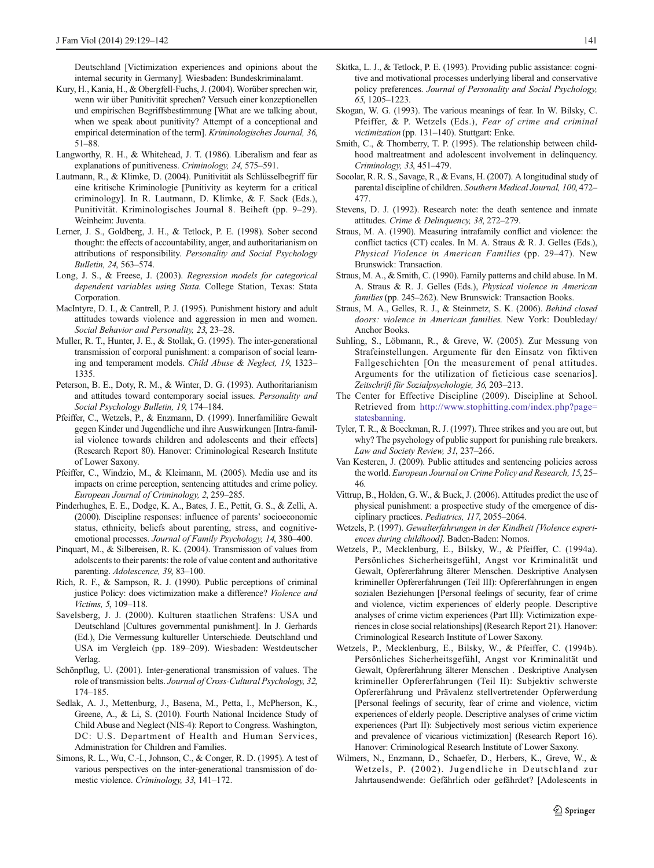<span id="page-12-0"></span>Deutschland [Victimization experiences and opinions about the internal security in Germany]. Wiesbaden: Bundeskriminalamt.

- Kury, H., Kania, H., & Obergfell-Fuchs, J. (2004). Worüber sprechen wir, wenn wir über Punitivität sprechen? Versuch einer konzeptionellen und empirischen Begriffsbestimmung [What are we talking about, when we speak about punitivity? Attempt of a conceptional and empirical determination of the term]. Kriminologisches Journal, 36, 51–88.
- Langworthy, R. H., & Whitehead, J. T. (1986). Liberalism and fear as explanations of punitiveness. Criminology, 24, 575–591.
- Lautmann, R., & Klimke, D. (2004). Punitivität als Schlüsselbegriff für eine kritische Kriminologie [Punitivity as keyterm for a critical criminology]. In R. Lautmann, D. Klimke, & F. Sack (Eds.), Punitivität. Kriminologisches Journal 8. Beiheft (pp. 9–29). Weinheim: Juventa.
- Lerner, J. S., Goldberg, J. H., & Tetlock, P. E. (1998). Sober second thought: the effects of accountability, anger, and authoritarianism on attributions of responsibility. Personality and Social Psychology Bulletin, 24, 563–574.
- Long, J. S., & Freese, J. (2003). Regression models for categorical dependent variables using Stata. College Station, Texas: Stata Corporation.
- MacIntyre, D. I., & Cantrell, P. J. (1995). Punishment history and adult attitudes towards violence and aggression in men and women. Social Behavior and Personality, 23, 23–28.
- Muller, R. T., Hunter, J. E., & Stollak, G. (1995). The inter-generational transmission of corporal punishment: a comparison of social learning and temperament models. Child Abuse & Neglect, 19, 1323– 1335.
- Peterson, B. E., Doty, R. M., & Winter, D. G. (1993). Authoritarianism and attitudes toward contemporary social issues. Personality and Social Psychology Bulletin, 19, 174–184.
- Pfeiffer, C., Wetzels, P., & Enzmann, D. (1999). Innerfamiliäre Gewalt gegen Kinder und Jugendliche und ihre Auswirkungen [Intra-familial violence towards children and adolescents and their effects] (Research Report 80). Hanover: Criminological Research Institute of Lower Saxony.
- Pfeiffer, C., Windzio, M., & Kleimann, M. (2005). Media use and its impacts on crime perception, sentencing attitudes and crime policy. European Journal of Criminology, 2, 259–285.
- Pinderhughes, E. E., Dodge, K. A., Bates, J. E., Pettit, G. S., & Zelli, A. (2000). Discipline responses: influence of parents' socioeconomic status, ethnicity, beliefs about parenting, stress, and cognitiveemotional processes. Journal of Family Psychology, 14, 380–400.
- Pinquart, M., & Silbereisen, R. K. (2004). Transmission of values from adolscents to their parents: the role of value content and authoritative parenting. Adolescence, 39, 83–100.
- Rich, R. F., & Sampson, R. J. (1990). Public perceptions of criminal justice Policy: does victimization make a difference? Violence and Victims, 5, 109–118.
- Savelsberg, J. J. (2000). Kulturen staatlichen Strafens: USA und Deutschland [Cultures governmental punishment]. In J. Gerhards (Ed.), Die Vermessung kultureller Unterschiede. Deutschland und USA im Vergleich (pp. 189–209). Wiesbaden: Westdeutscher Verlag.
- Schönpflug, U. (2001). Inter-generational transmission of values. The role of transmission belts. Journal of Cross-Cultural Psychology, 32, 174–185.
- Sedlak, A. J., Mettenburg, J., Basena, M., Petta, I., McPherson, K., Greene, A., & Li, S. (2010). Fourth National Incidence Study of Child Abuse and Neglect (NIS-4): Report to Congress. Washington, DC: U.S. Department of Health and Human Services, Administration for Children and Families.
- Simons, R. L., Wu, C.-I., Johnson, C., & Conger, R. D. (1995). A test of various perspectives on the inter-generational transmission of domestic violence. Criminology, 33, 141–172.
- Skitka, L. J., & Tetlock, P. E. (1993). Providing public assistance: cognitive and motivational processes underlying liberal and conservative policy preferences. Journal of Personality and Social Psychology, 65, 1205–1223.
- Skogan, W. G. (1993). The various meanings of fear. In W. Bilsky, C. Pfeiffer, & P. Wetzels (Eds.), Fear of crime and criminal victimization (pp. 131–140). Stuttgart: Enke.
- Smith, C., & Thornberry, T. P. (1995). The relationship between childhood maltreatment and adolescent involvement in delinquency. Criminology, 33, 451–479.
- Socolar, R. R. S., Savage, R., & Evans, H. (2007). A longitudinal study of parental discipline of children. Southern Medical Journal, 100, 472– 477.
- Stevens, D. J. (1992). Research note: the death sentence and inmate attitudes. Crime & Delinquency, 38, 272–279.
- Straus, M. A. (1990). Measuring intrafamily conflict and violence: the conflict tactics (CT) ccales. In M. A. Straus & R. J. Gelles (Eds.), Physical Violence in American Families (pp. 29–47). New Brunswick: Transaction.
- Straus, M. A., & Smith, C. (1990). Family patterns and child abuse. In M. A. Straus & R. J. Gelles (Eds.), Physical violence in American families (pp. 245–262). New Brunswick: Transaction Books.
- Straus, M. A., Gelles, R. J., & Steinmetz, S. K. (2006). Behind closed doors: violence in American families. New York: Doubleday/ Anchor Books.
- Suhling, S., Löbmann, R., & Greve, W. (2005). Zur Messung von Strafeinstellungen. Argumente für den Einsatz von fiktiven Fallgeschichten [On the measurement of penal attitudes. Arguments for the utilization of ficticious case scenarios]. Zeitschrift für Sozialpsychologie, 36, 203–213.
- The Center for Effective Discipline (2009). Discipline at School. Retrieved from [http://www.stophitting.com/index.php?page=](http://www.stophitting.com/index.php?page=statesbanning) [statesbanning](http://www.stophitting.com/index.php?page=statesbanning).
- Tyler, T. R., & Boeckman, R. J. (1997). Three strikes and you are out, but why? The psychology of public support for punishing rule breakers. Law and Society Review, 31, 237–266.
- Van Kesteren, J. (2009). Public attitudes and sentencing policies across the world. European Journal on Crime Policy and Research, 15, 25– 46.
- Vittrup, B., Holden, G. W., & Buck, J. (2006). Attitudes predict the use of physical punishment: a prospective study of the emergence of disciplinary practices. Pediatrics, 117, 2055–2064.
- Wetzels, P. (1997). Gewalterfahrungen in der Kindheit [Violence experiences during childhood]. Baden-Baden: Nomos.
- Wetzels, P., Mecklenburg, E., Bilsky, W., & Pfeiffer, C. (1994a). Persönliches Sicherheitsgefühl, Angst vor Kriminalität und Gewalt, Opfererfahrung älterer Menschen. Deskriptive Analysen krimineller Opfererfahrungen (Teil III): Opfererfahrungen in engen sozialen Beziehungen [Personal feelings of security, fear of crime and violence, victim experiences of elderly people. Descriptive analyses of crime victim experiences (Part III): Victimization experiences in close social relationships] (Research Report 21). Hanover: Criminological Research Institute of Lower Saxony.
- Wetzels, P., Mecklenburg, E., Bilsky, W., & Pfeiffer, C. (1994b). Persönliches Sicherheitsgefühl, Angst vor Kriminalität und Gewalt, Opfererfahrung älterer Menschen . Deskriptive Analysen krimineller Opfererfahrungen (Teil II): Subjektiv schwerste Opfererfahrung und Prävalenz stellvertretender Opferwerdung [Personal feelings of security, fear of crime and violence, victim experiences of elderly people. Descriptive analyses of crime victim experiences (Part II): Subjectively most serious victim experience and prevalence of vicarious victimization] (Research Report 16). Hanover: Criminological Research Institute of Lower Saxony.
- Wilmers, N., Enzmann, D., Schaefer, D., Herbers, K., Greve, W., & Wetzels, P. (2002). Jugendliche in Deutschland zur Jahrtausendwende: Gefährlich oder gefährdet? [Adolescents in